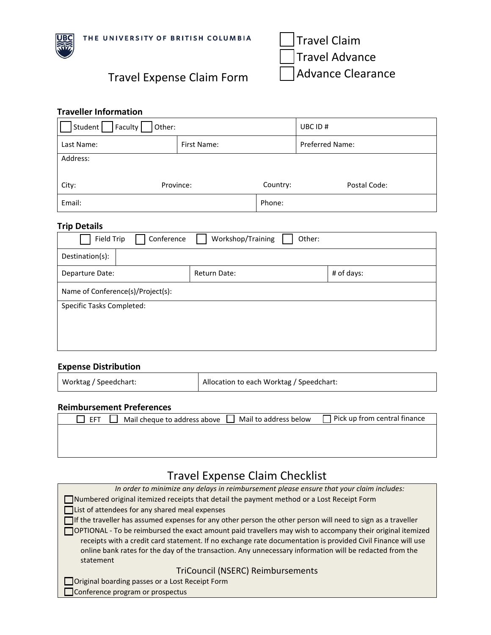THE UNIVERSITY OF BRITISH COLUMBIA

# Travel Expense Claim Form

| Travel Claim      |  |
|-------------------|--|
| Travel Advance    |  |
| Advance Clearance |  |

## **Traveller Information**

UBC

| Faculty<br>Student<br>Other: |             |          | UBC ID#                |  |  |
|------------------------------|-------------|----------|------------------------|--|--|
| Last Name:                   | First Name: |          | <b>Preferred Name:</b> |  |  |
| Address:                     |             |          |                        |  |  |
| City:<br>Province:           |             | Country: | Postal Code:           |  |  |
| Email:                       |             | Phone:   |                        |  |  |

## **Trip Details**

| Field Trip<br>Workshop/Training<br>Conference<br>Other: |              |            |  |
|---------------------------------------------------------|--------------|------------|--|
| Destination(s):                                         |              |            |  |
| Departure Date:                                         | Return Date: | # of days: |  |
| Name of Conference(s)/Project(s):                       |              |            |  |
| Specific Tasks Completed:                               |              |            |  |
|                                                         |              |            |  |
|                                                         |              |            |  |

## **Expense Distribution**

| Worktag / Speedchart:              | Allocation to each Worktag / Speedchart:    |
|------------------------------------|---------------------------------------------|
| <b>Reimbursement Preferences</b>   |                                             |
| $\sim$ $\sim$ $\sim$ $\sim$ $\sim$ | <b>Experience for the contract fragment</b> |

| $\Box$ EFT $\Box$ |  | Mail cheque to address above $\Box$ Mail to address below $\Box$ Pick up from central finance |
|-------------------|--|-----------------------------------------------------------------------------------------------|
|                   |  |                                                                                               |
|                   |  |                                                                                               |
|                   |  |                                                                                               |

## Travel Expense Claim Checklist

| In order to minimize any delays in reimbursement please ensure that your claim includes:                     |
|--------------------------------------------------------------------------------------------------------------|
| Numbered original itemized receipts that detail the payment method or a Lost Receipt Form                    |
| List of attendees for any shared meal expenses                                                               |
| If the traveller has assumed expenses for any other person the other person will need to sign as a traveller |
| OPTIONAL - To be reimbursed the exact amount paid travellers may wish to accompany their original itemized   |
| receipts with a credit card statement. If no exchange rate documentation is provided Civil Finance will use  |
| online bank rates for the day of the transaction. Any unnecessary information will be redacted from the      |
| statement                                                                                                    |
| TriCouncil (NSERC) Reimbursements                                                                            |
| Original boarding passes or a Lost Receipt Form                                                              |
| Conference program or prospectus                                                                             |